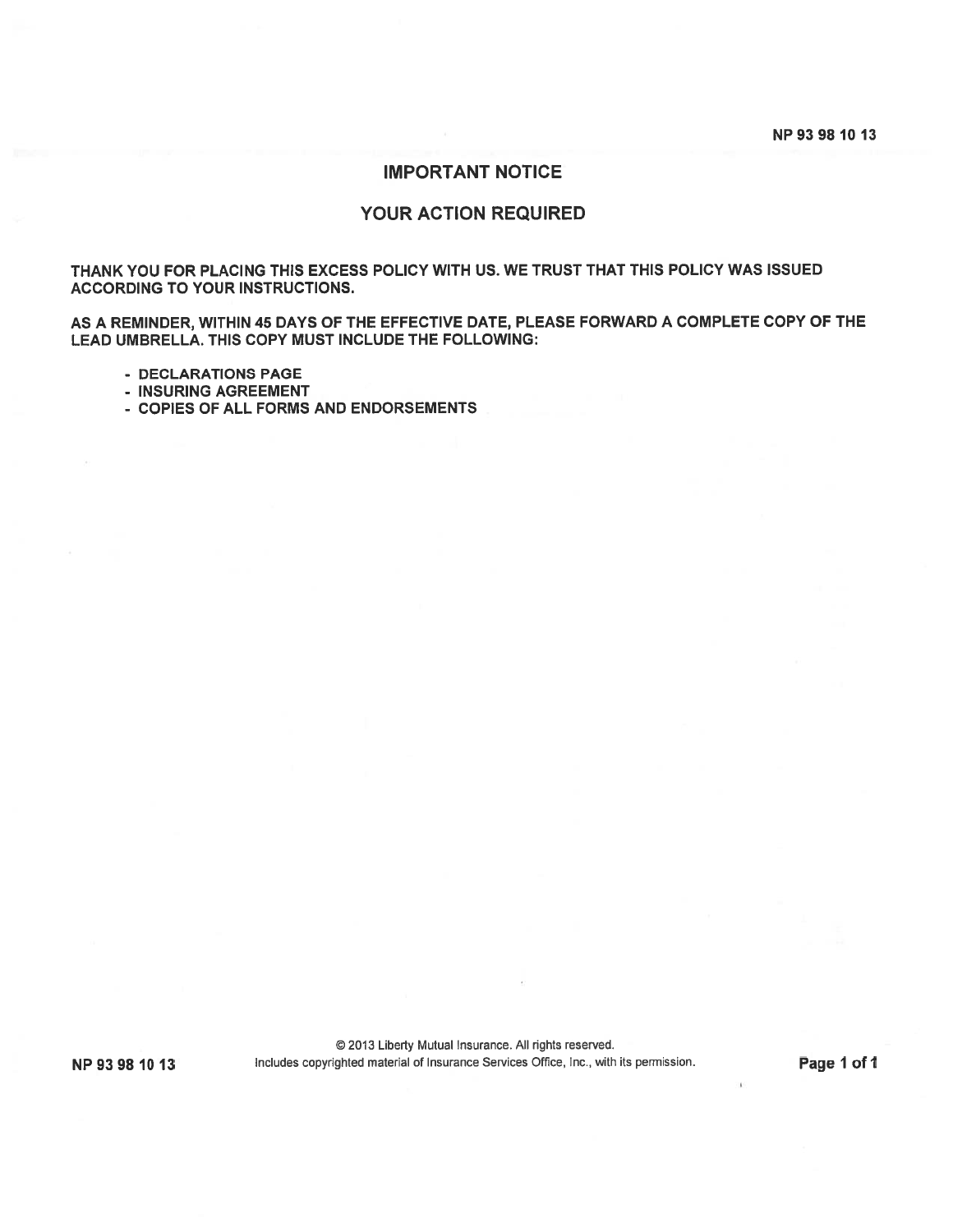NP 93 98 10 13

# IMPORTANT NOTICE

# YOUR ACTION REQUIRED

THANK YOU FOR PLACING THIS EXCESS POLICY WITH US. WE TRUST THAT THIS POLICY WAS ISSUED ACCORDING TO YOUR INSTRUCTIONS.

AS A REMINDER, WITHIN 45 DAYS OF THE EFFECTIVE DATE, PLEASE FORWARD A COMPLETE COPY OF THE LEAD UMBRELLA. THIS COPY MUST INCLUDE THE FOLLOWING:

- DECLARATIONS PAGE
- INSURING AGREEMENT
- COPIES OF ALL FORMS AND ENDORSEMENTS

© 2013 Liberty Mutual Insurance. All rights reserved. NP 93 98 10 13 Includes copyrighted material of Insurance Services Office, Inc., with its permission. Page 1 of 1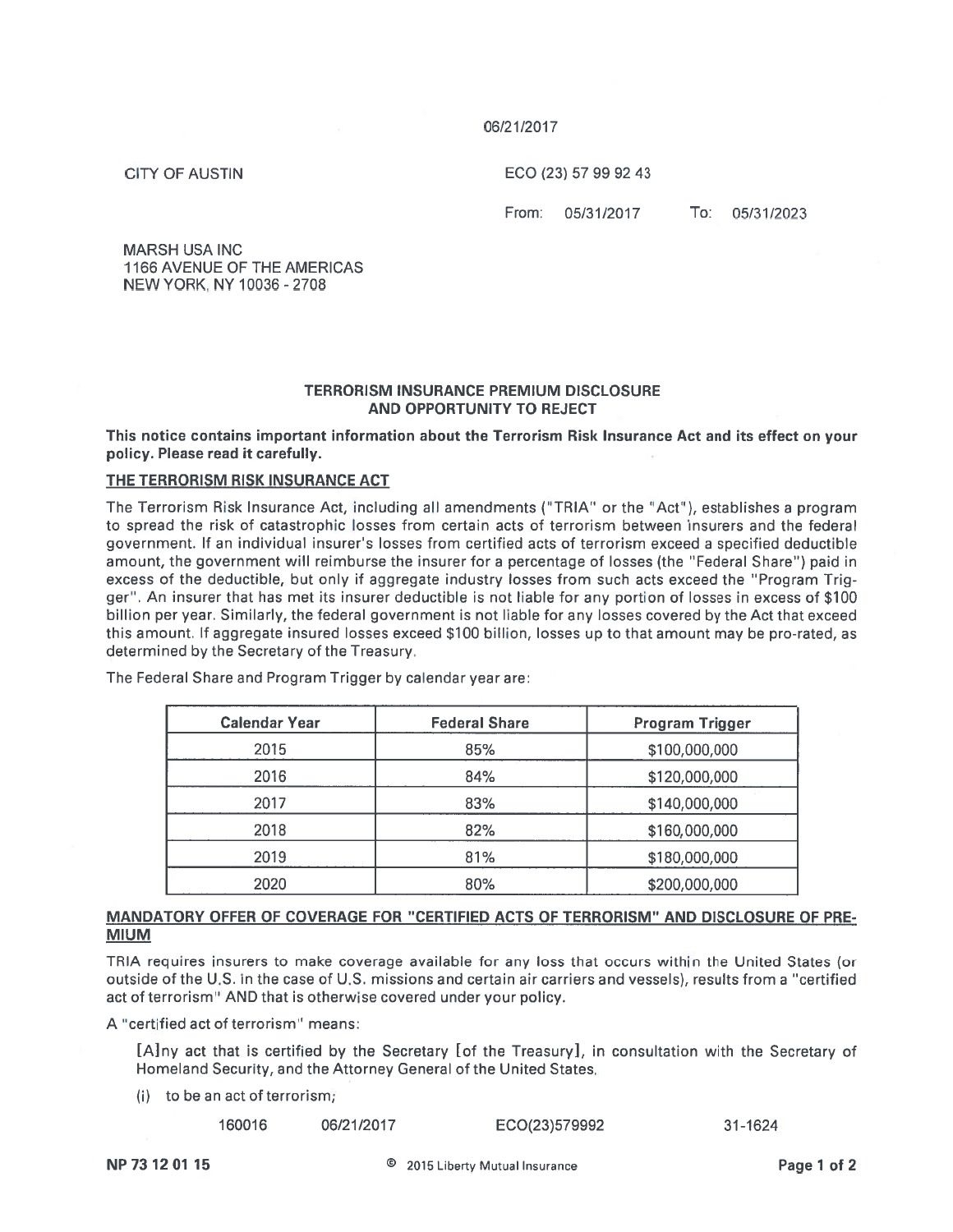### 06/21/2017

**CITY OF AUSTIN** 

ECO (23) 57 99 92 43

From: 05/31/2017

To: 05/31/2023

MARSH USA INC1166 AVENUE OF THE AMERICAS NEW YORK, NY 10036 -2708

### TERRORISM INSURANCE PREMIUM DISCLOSURE AND OPPORTUNITY TO REJECT

This notice contains important information about the Terrorism Risk Insurance Act and its effect on your policy. Please read it carefully.

### THE TERRORISM RISK INSURANCE ACT

The Terrorism Risk Insurance Act, including all amendments ("TRIA" or the "Act"), establishes a program to spread the risk of catastrophic losses from certain acts of terrorism between insurers and the federa government. If an individual insurer's losses from certified acts of terrorism exceed a specified deductible amount, the governmen<sup>t</sup> will reimburse the insurer for <sup>a</sup> percentage of losses (the 'Federal Share') paid in excess of the deductible, but only if aggregate industry losses from such acts exceed the "Program Trig ger'. An insurer that has met its insurer deductible is not liable for any portion of losses in excess of \$100 billion per year. Similarly, the federal governmen<sup>t</sup> is not liable for any losses covered by the Act that exceed this amount. II aggregate insured losses exceed \$100 billion, losses up to that amount may be pro-rated, as determined by the Secretary of the Treasury.

| <b>Calendar Year</b> | <b>Federal Share</b> | Program Trigger |
|----------------------|----------------------|-----------------|
| 2015                 | 85%                  | \$100,000,000   |
| 2016                 | 84%                  | \$120,000,000   |
| 2017                 | 83%                  | \$140,000,000   |
| 2018                 | 82%                  | \$160,000,000   |
| 2019                 | 81%                  | \$180,000,000   |
| 2020                 | 80%                  | \$200,000,000   |

The Federal Share and Program Trigger by calendar year are:

# MANDATORY OFFER OF COVERAGE FOR "CERTIFIED ACTS OF TERRORISM" AND DISCLOSURE OF PRE MIUM

TRIA requires insurers to make coverage available for any loss that occurs within the United States (or outside of the U.S. in the case of U.S. missions and certain air carriers and vessels), results from <sup>a</sup> "certified act of terrorism" AND that is otherwise covered under your policy.

A 'certified act of terrorism" means:

[A]ny act that is certified by the Secretary [of the Treasury], in consultation with the Secretary of Homeland Security, and the Attorney General of the United States.

(i) to be an act of terrorism;

|  | 160016 | 06/21/2017 | ECO(23)579992 | 31-1624 |
|--|--------|------------|---------------|---------|
|--|--------|------------|---------------|---------|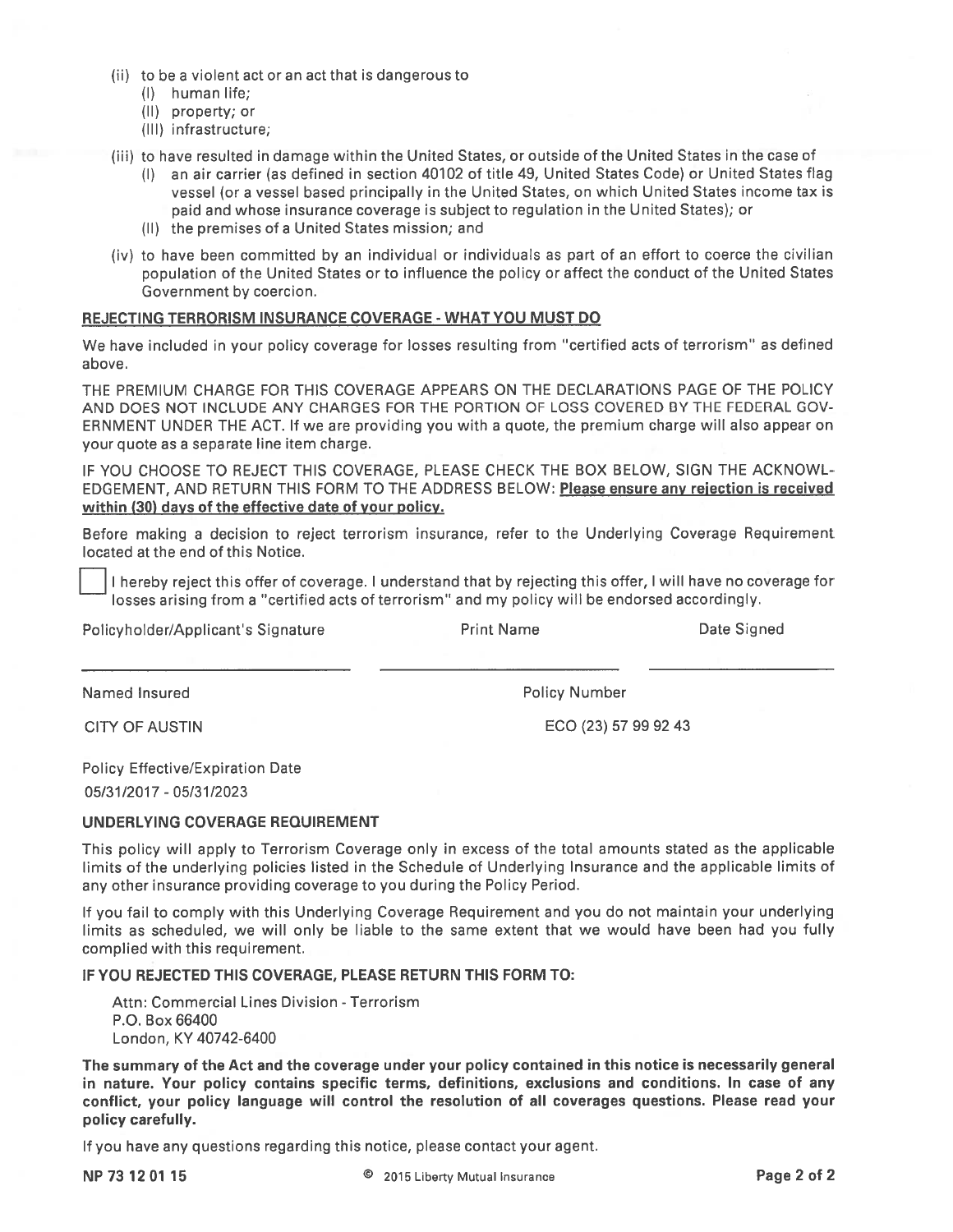- (ii) to be <sup>a</sup> violent act or an act that is dangerous to
	- (I) human life;
	- (II) property; or
	- (Ill) infrastructure;
- (iii) to have resulted in damage within the United States, or outside of the United States in the case of
	- (I) an air carrier (as defined in section 40102 of title 49, United States Code) or United States flag vessel (or <sup>a</sup> vessel based principally in the United States, on which United States income tax is paid and whose insurance coverage is subject to regulation in the United States); or
	- (II) the premises of <sup>a</sup> United States mission; and
- (iv) to have been committed by an individual or individuals as par<sup>t</sup> of an effort to coerce the civilian population of the United States or to influence the policy or affect the conduct of the United States Government by coercion.

### REJECTING TERRORISM INSURANCE COVERAGE - WHAT YOU MUST DO

We have included in your policy coverage for losses resulting from "certified acts of terrorism" as defined above.

THE PREMIUM CHARGE FOR THIS COVERAGE APPEARS ON THE DECLARATIONS PAGE OF THE POLICY AND DOES NOT INCLUDE ANY CHARGES FOR THE PORTION OF LOSS COVERED BY THE FEDERAL GOV ERNMENT UNDER THE ACT. If we are providing you with <sup>a</sup> quote, the premium charge will also appear on your quote as <sup>a</sup> separate line item charge.

IF YOU CHOOSE TO REJECT THIS COVERAGE, PLEASE CHECK THE BOX BELOW, SIGN THE ACKNOWL EDGEMENT, AND RETURN THIS FORM TO THE ADDRESS BELOW: Please ensure any reiection is received within (30) days of the effective date of your policy.

Before making <sup>a</sup> decision to reject terrorism insurance, refer to the Underlying Coverage Requirement located at the end of this Notice.

<sup>I</sup> hereby reject this offer of coverage. <sup>I</sup> understand that by rejecting this offer, <sup>I</sup> will have no coverage for losses arising from <sup>a</sup> 'certified acts of terrorism" and my policy will be endorsed accordingly.

Policyholder/Applicant's Signature **Print Name** Print Name Date Signed

Named Insured **Policy Number** Policy Number

CITY OF AUSTIN ECO (23) 57 99 92 43

Policy Effective/Expiration Date 05/31/2017 - 05/31/2023

### UNDERLYING COVERAGE REQUIREMENT

This policy will apply to Terrorism Coverage only in excess of the total amounts stated as the applicable limits of the underlying policies listed in the Schedule of Underlying Insurance and the applicable limits of any other insurance providing coverage to you during the Policy Period.

If you fail to comply with this Underlying Coverage Requirement and you do not maintain your underlying limits as scheduled, we will only be liable to the same extent that we would have been had you fully complied with this requirement.

IF YOU REJECTED THIS COVERAGE, PLEASE RETURN THIS FORM TO:

Attn: Commercial Lines Division - Terrorism P.O. Box 66400 London, KY 40742-6400

The summary of the Act and the coverage under your policy contained in this notice is necessarily general in nature. Your policy contains specific terms, definitions, exclusions and conditions. In case of any conflict, your policy language will control the resolution of all coverages questions. Please read your policy carefully.

If you have any questions regarding this notice, please contact your agent.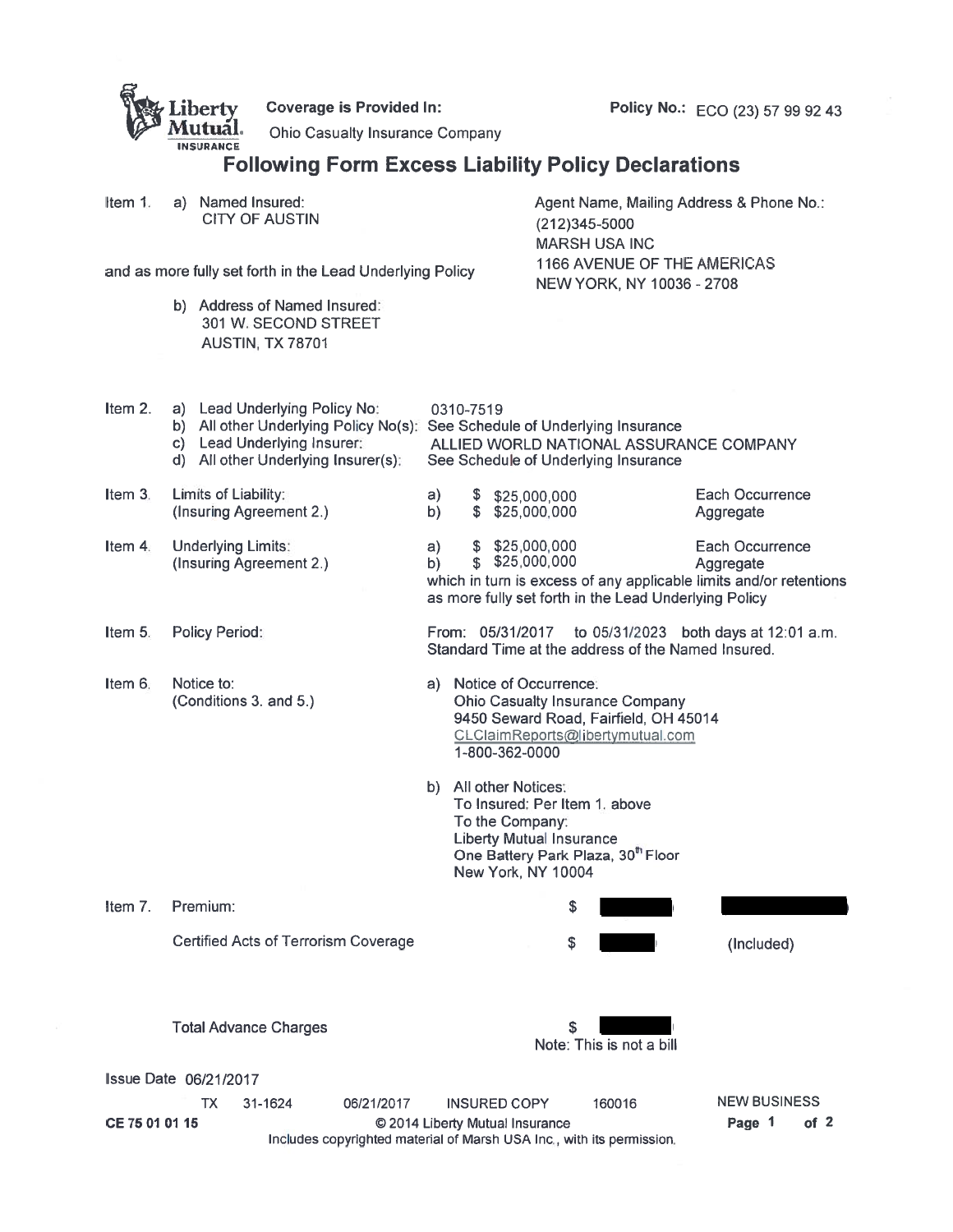|                              |                                                      | liberty<br><b>INSURANCE</b>                               |                                                                                                                                                                                   | <b>Coverage is Provided In:</b><br><b>Ohio Casualty Insurance Company</b>                                | <b>Following Form Excess Liability Policy Declarations</b> |                                                                                                                                                                                                          |                                                                                   |                                                       |                                                                                 |                                                                           | Policy No.: ECO (23) 57 99 92 43                                                            |        |  |  |
|------------------------------|------------------------------------------------------|-----------------------------------------------------------|-----------------------------------------------------------------------------------------------------------------------------------------------------------------------------------|----------------------------------------------------------------------------------------------------------|------------------------------------------------------------|----------------------------------------------------------------------------------------------------------------------------------------------------------------------------------------------------------|-----------------------------------------------------------------------------------|-------------------------------------------------------|---------------------------------------------------------------------------------|---------------------------------------------------------------------------|---------------------------------------------------------------------------------------------|--------|--|--|
| Item $1$ .                   |                                                      |                                                           | a) Named Insured:<br><b>CITY OF AUSTIN</b>                                                                                                                                        |                                                                                                          |                                                            |                                                                                                                                                                                                          | Agent Name, Mailing Address & Phone No.:<br>(212)345-5000<br><b>MARSH USA INC</b> |                                                       |                                                                                 |                                                                           |                                                                                             |        |  |  |
|                              |                                                      | and as more fully set forth in the Lead Underlying Policy |                                                                                                                                                                                   |                                                                                                          |                                                            |                                                                                                                                                                                                          |                                                                                   | NEW YORK, NY 10036 - 2708                             | 1166 AVENUE OF THE AMERICAS                                                     |                                                                           |                                                                                             |        |  |  |
|                              |                                                      |                                                           | b) Address of Named Insured:<br>301 W. SECOND STREET<br><b>AUSTIN; TX 78701</b>                                                                                                   |                                                                                                          |                                                            |                                                                                                                                                                                                          |                                                                                   |                                                       |                                                                                 |                                                                           |                                                                                             |        |  |  |
| Item $2.$                    |                                                      |                                                           | a) Lead Underlying Policy No:<br>b) All other Underlying Policy No(s). See Schedule of Underlying Insurance<br>c) Lead Underlying Insurer:<br>d) All other Underlying Insurer(s): |                                                                                                          |                                                            | 0310-7519                                                                                                                                                                                                |                                                                                   |                                                       | See Schedule of Underlying Insurance                                            |                                                                           | ALLIED WORLD NATIONAL ASSURANCE COMPANY                                                     |        |  |  |
| Item 3.                      |                                                      | Limits of Liability:                                      | (Insuring Agreement 2.)                                                                                                                                                           |                                                                                                          | a)<br>b)                                                   | \$<br>\$                                                                                                                                                                                                 |                                                                                   | \$25,000,000<br>\$25,000,000                          |                                                                                 |                                                                           | Each Occurrence<br>Aggregate                                                                |        |  |  |
| Item 4.                      | <b>Underlying Limits:</b><br>(Insuring Agreement 2.) |                                                           |                                                                                                                                                                                   |                                                                                                          |                                                            | \$325,000,000<br>Each Occurrence<br>a)<br>\$25,000,000<br>b)<br>Aggregate<br>which in turn is excess of any applicable limits and/or retentions<br>as more fully set forth in the Lead Underlying Policy |                                                                                   |                                                       |                                                                                 |                                                                           |                                                                                             |        |  |  |
| Item $5.$                    |                                                      | Policy Period:                                            |                                                                                                                                                                                   |                                                                                                          |                                                            |                                                                                                                                                                                                          | From: 05/31/2017                                                                  |                                                       |                                                                                 |                                                                           | to 05/31/2023 both days at 12:01 a.m.<br>Standard Time at the address of the Named Insured. |        |  |  |
| Item 6.                      |                                                      | Notice to:                                                | (Conditions 3. and 5.)                                                                                                                                                            |                                                                                                          | a) -                                                       |                                                                                                                                                                                                          | 1-800-362-0000                                                                    | Notice of Occurrence:                                 | <b>Ohio Casualty Insurance Company</b>                                          | 9450 Seward Road, Fairfield, OH 45014<br>CLClaimReports@libertymutual.com |                                                                                             |        |  |  |
|                              |                                                      |                                                           |                                                                                                                                                                                   |                                                                                                          | b)                                                         |                                                                                                                                                                                                          | All other Notices:<br>To the Company:                                             | <b>Liberty Mutual Insurance</b><br>New York, NY 10004 | To Insured: Per Item 1. above<br>One Battery Park Plaza, 30 <sup>th</sup> Floor |                                                                           |                                                                                             |        |  |  |
| Item $71$                    |                                                      | Premium:                                                  |                                                                                                                                                                                   |                                                                                                          |                                                            |                                                                                                                                                                                                          |                                                                                   | \$                                                    |                                                                                 |                                                                           |                                                                                             |        |  |  |
|                              |                                                      |                                                           | <b>Certified Acts of Terrorism Coverage</b>                                                                                                                                       |                                                                                                          |                                                            |                                                                                                                                                                                                          |                                                                                   | \$                                                    |                                                                                 |                                                                           | (Included)                                                                                  |        |  |  |
| <b>Issue Date 06/21/2017</b> |                                                      |                                                           | <b>Total Advance Charges</b>                                                                                                                                                      |                                                                                                          |                                                            |                                                                                                                                                                                                          |                                                                                   | S                                                     | Note: This is not a bill                                                        |                                                                           |                                                                                             |        |  |  |
|                              |                                                      | ТX                                                        | 31-1624                                                                                                                                                                           | 06/21/2017                                                                                               |                                                            |                                                                                                                                                                                                          | <b>INSURED COPY</b>                                                               |                                                       | 160016                                                                          |                                                                           | <b>NEW BUSINESS</b>                                                                         |        |  |  |
| CE 75 01 01 15               |                                                      |                                                           |                                                                                                                                                                                   | © 2014 Liberty Mutual Insurance<br>Includes copyrighted material of Marsh USA Inc., with its permission. |                                                            |                                                                                                                                                                                                          |                                                                                   |                                                       |                                                                                 |                                                                           | Page 1                                                                                      | of $2$ |  |  |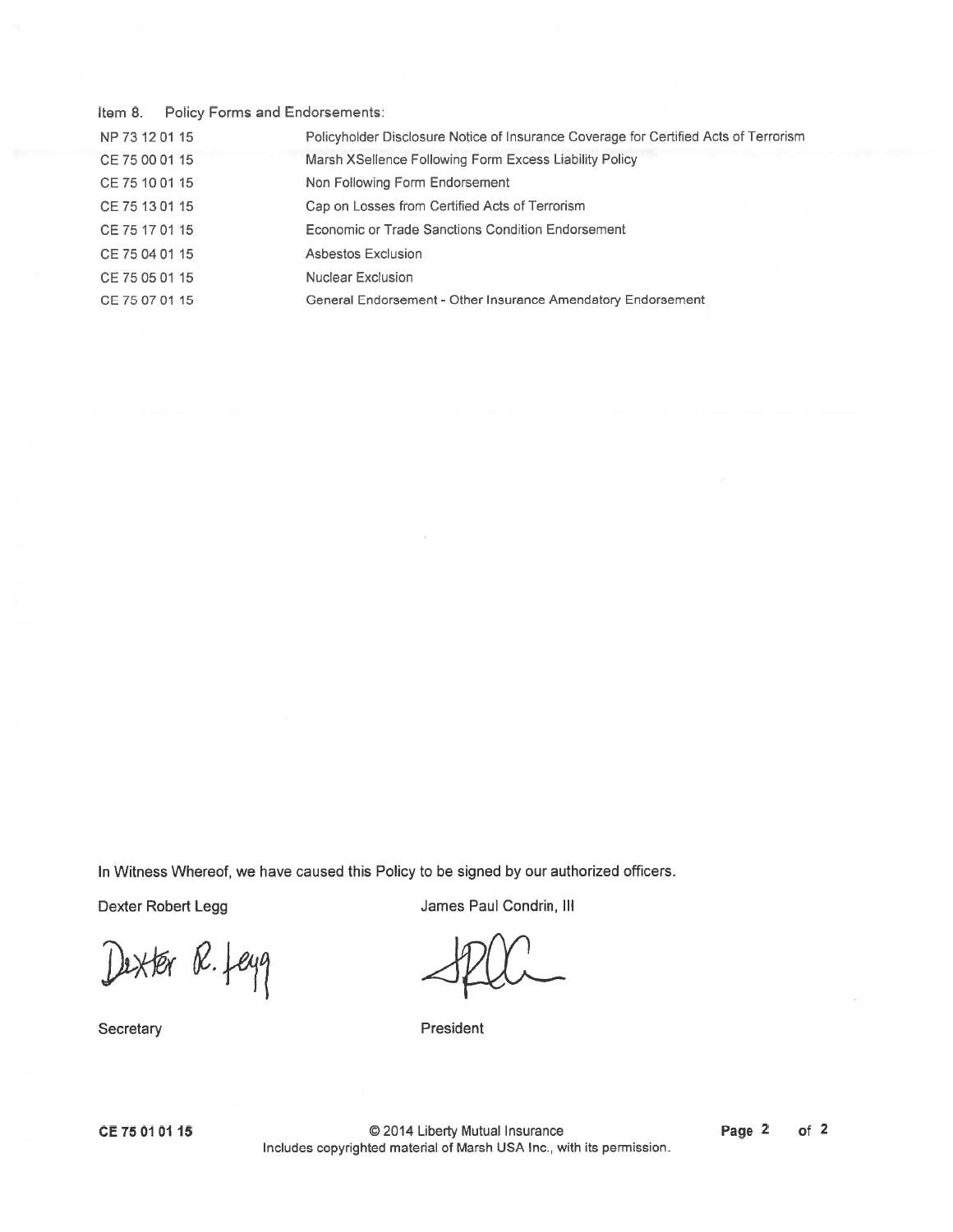Item 8. Policy Forms and Endorsements:

| NP 73 12 01 15 | Policyholder Disclosure Notice of Insurance Coverage for Certified Acts of Terrorism |
|----------------|--------------------------------------------------------------------------------------|
| CE 75 00 01 15 | Marsh XSellence Following Form Excess Liability Policy                               |
| CE 75 10 01 15 | Non Following Form Endorsement                                                       |
| CE 75 13 01 15 | Cap on Losses from Certified Acts of Terrorism                                       |
| CE 75 17 01 15 | Economic or Trade Sanctions Condition Endorsement                                    |
| CE 75 04 01 15 | Asbestos Exclusion                                                                   |
| CE 75 05 01 15 | Nuclear Exclusion                                                                    |
| CE 75 07 01 15 | General Endorsement - Other Insurance Amendatory Endorsement                         |

In Witness Whereof, we have caused this Policy to be signed by our authorized officers.

Dexter R. feyg

**Secretary** 

Dexter Robert Legg **James Paul Condrin**, III

President

CE 7501 01 15

© 2014 Liberty Mutual Insurance Includes copyrighted material of Marsh USA Inc. with its permission.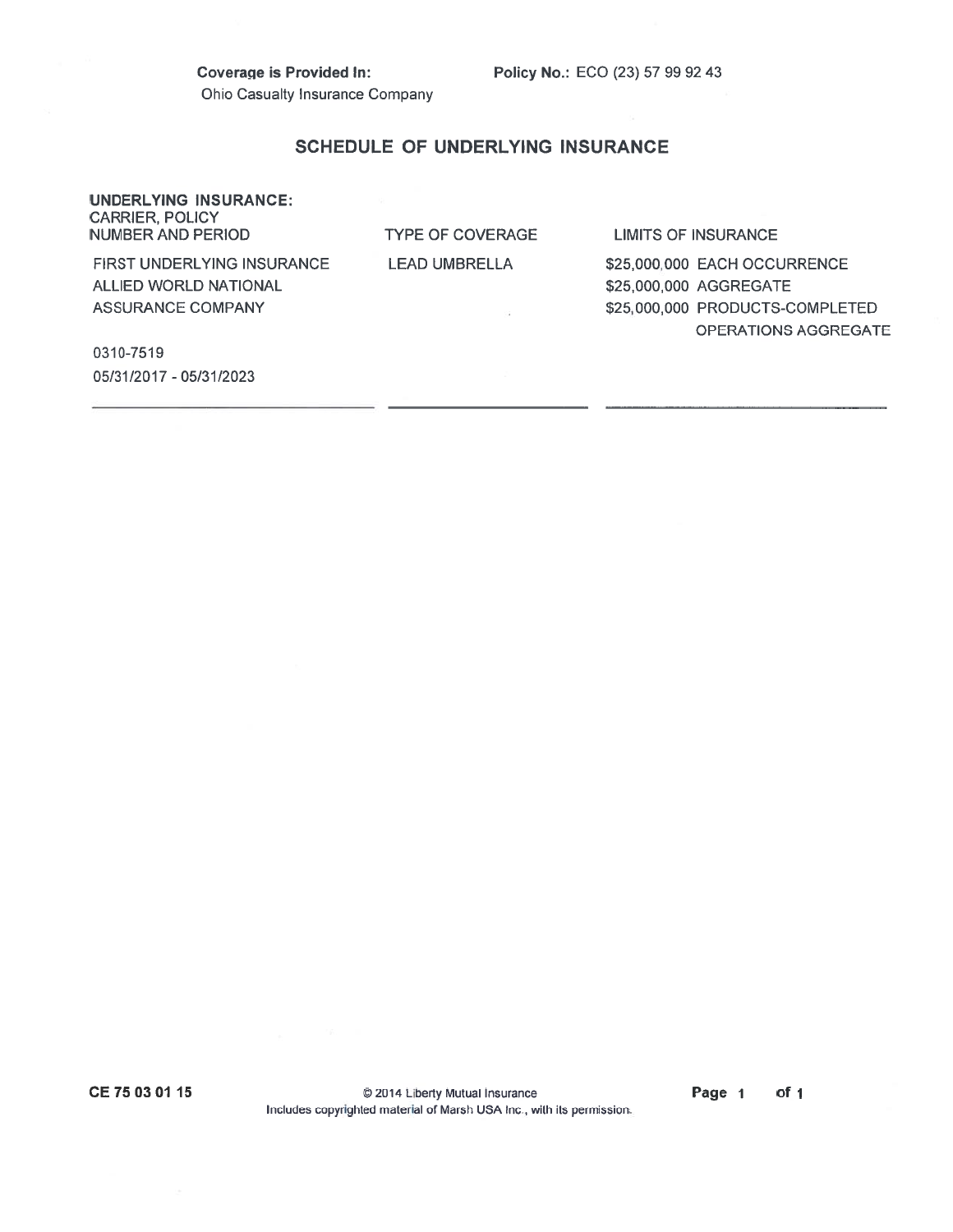Coverage is Provided In: Policy No.: ECO (23) 57 99 92 43 Ohio Casualty Insurance Company

### SCHEDULE OF UNDERLYING INSURANCE

#### UNDERLYING INSURANCE: CARRIER, POLICY NUMBER AND PERIODTYPE OF COVERAGE S OF INSURANCE FIRST UNDERLYINGLEAD UMBRELLA \$25,000,000 EACH OCCURRENCE **ALLIED WORLD NATIONAL** \$25,000,000 AGGREGATE ASSURANCE COMPANY**\$25,000,000 PRODUCTS-COMPLETED** OPERATIONS AGGREGATE

0310-7519 05/31/2017 - 05/31/2023

CE 75 03 01 15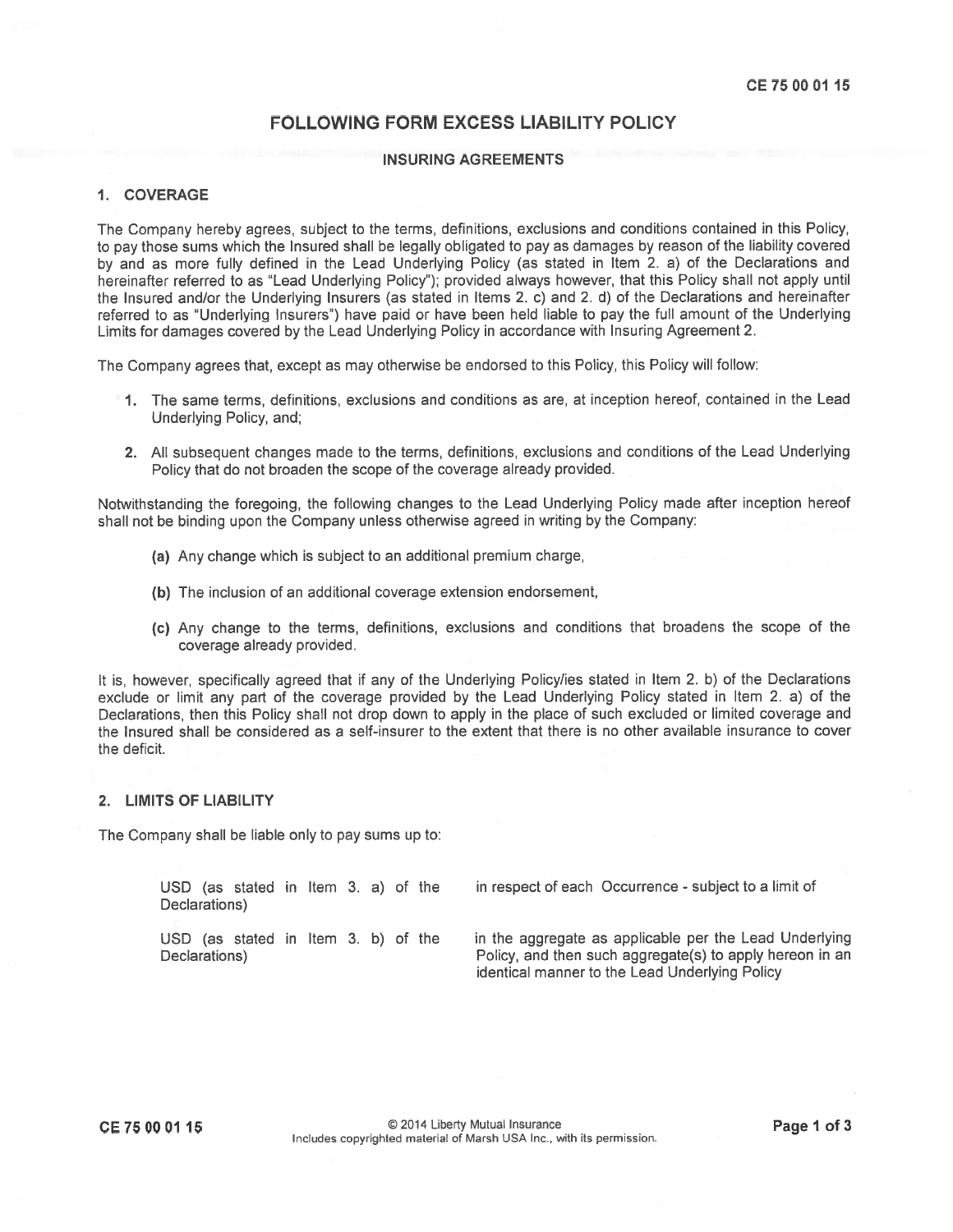# FOLLOWING FORM EXCESS LIABILITY POLICY

#### INSURING AGREEMENTS

#### 1. COVERAGE

The Company hereby agrees, subject to the terms, definitions, exclusions and conditions contained in this Policy, to pay those sums which the Insured shall be legally obligated to pay as damages by reason of the liability covered by and as more fully defined in the Lead Underlying Policy (as stated in Item 2. a) of the Declarations and hereinafter referred to as "Lead Underlying Policy"); provided always however, that this Policy shall not apply until the Insured and/or the Underlying Insurers (as stated in Items 2. c) and 2. d) of the Declarations and hereinafter referred to as "Underlying Insurers") have paid or have been held liable to pay the full amount of the Underlying Limits for damages covered by the Lead Underlying Policy in accordance with Insuring Agreement 2.

The Company agrees that, excep<sup>t</sup> as may otherwise be endorsed to this Policy, this Policy will follow:

- 1. The same terms, definitions, exclusions and conditions as are, at inception hereof, contained in the Lead Underlying Policy, and;
- 2. All subsequent changes made to the terms, definitions, exclusions and conditions of the Lead Underlying Policy that do not broaden the scope of the coverage already provided.

Notwithstanding the foregoing, the following changes to the Lead Underlying Policy made after inception hereof shall not be binding upon the Company unless otherwise agreed in writing by the Company:

- (a) Any change which is subject to an additional premium charge,
- (b) The inclusion of an additional coverage extension endorsement,
- (C) Any change to the terms, definitions, exclusions and conditions that broadens the scope of the coverage already provided.

It is, however, specifically agreed that if any of the Underlying Policy/ies stated in Item 2. b) of the Declarations exclude or limit any par<sup>t</sup> of the coverage provided by the Lead Underlying Policy stated in Item 2. a) of the Declarations, then this Policy shall not drop down to apply in the <sup>p</sup>lace of such excluded or limited coverage and the Insured shall be considered as <sup>a</sup> self-insurer to the extent that there is no other available insurance to cover the deficit.

### 2. LIMITS OF LIABILITY

The Company shall be liable only to pay sums up to:

Declarations)

USD (as stated in Item 3. a) of the in respec<sup>t</sup> of each Occurrence -subject to <sup>a</sup> limit of

USD (as stated in Item 3. b) of the in the aggregate as applicable per the Lead Underlying Declarations) **Policy, and then such aggregate(s)** to apply hereon in an identical manner to the Lead Underlying Policy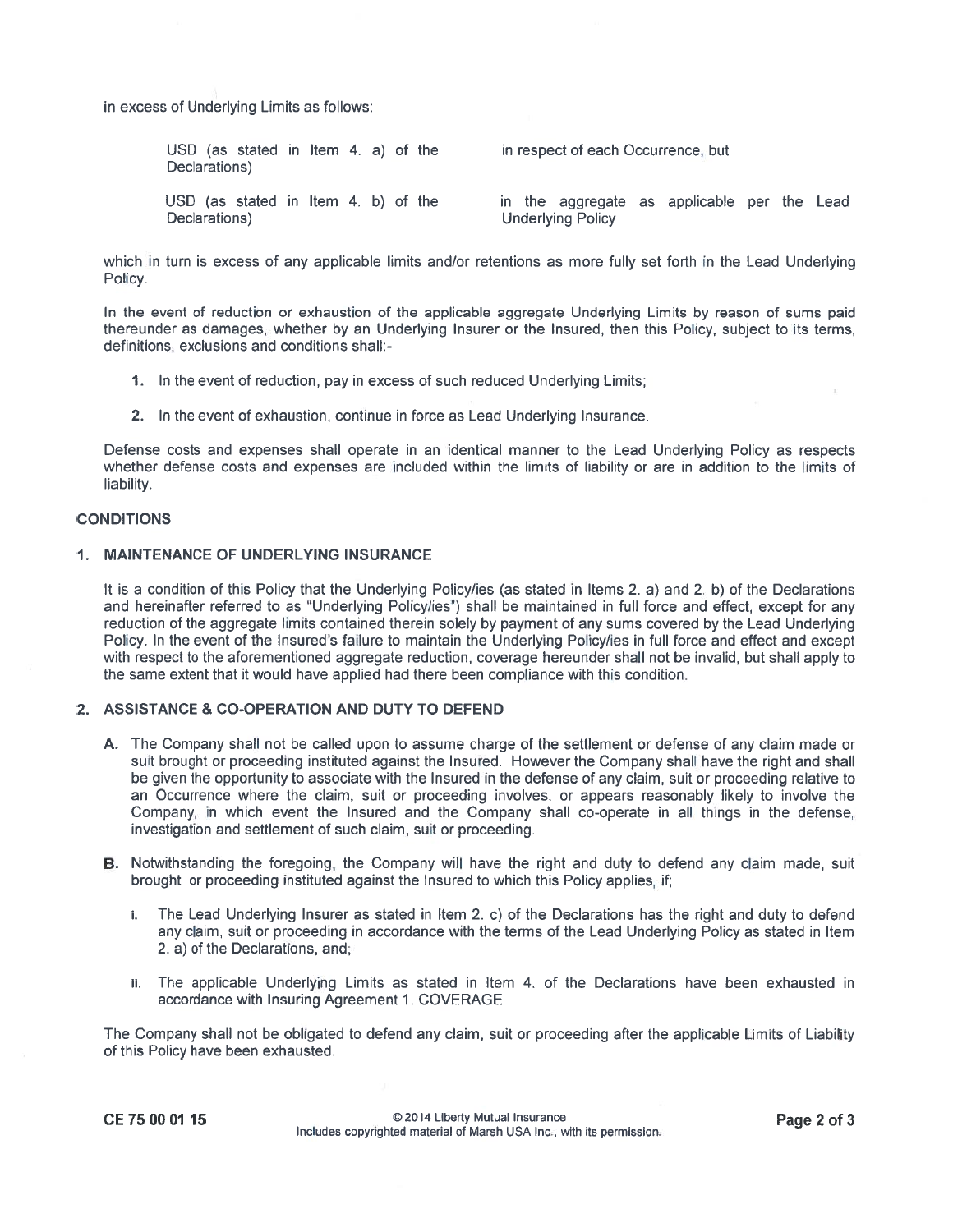in excess of Underlying Limits as follows:

| Declarations)                                        | USD (as stated in Item 4. a) of the |  |  |  |  | in respect of each Occurrence, but |  |  |                          |  |                                             |  |  |  |
|------------------------------------------------------|-------------------------------------|--|--|--|--|------------------------------------|--|--|--------------------------|--|---------------------------------------------|--|--|--|
| USD (as stated in Item 4, b) of the<br>Declarations) |                                     |  |  |  |  |                                    |  |  | <b>Underlying Policy</b> |  | in the aggregate as applicable per the Lead |  |  |  |

which in turn is excess of any applicable limits and/or retentions as more fully set forth in the Lead Underlying Policy.

In the event of reduction or exhaustion of the applicable aggregate Underlying Limits by reason of sums paic thereunder as damages, whether by an Underlying Insurer or the Insured, then this Policy, subject to its terms, definitions, exclusions and conditions shall:

- 1. In the event of reduction, pay in excess of such reduced Underlying Limits;
- 2. In the event of exhaustion, continue in force as Lead Underlying Insurance.

Defense costs and expenses shall operate in an identical manner to the Lead Underlying Policy as respects whether defense costs and expenses are included within the limits of liability or are in addition to the limits of liability.

#### CONDITIONS

#### 1. MAINTENANCE OF UNDERLYING INSURANCE

It is a condition of this Policy that the Underlying Policy/ies (as stated in Items 2. a) and 2. b) of the Declarations and hereinafter referred to as "Underlying Policy/ies") shall be maintained in full force and effect, excep<sup>t</sup> for any reduction of the aggregate limits contained therein solely by paymen<sup>t</sup> of any sums covered by the Lead Underlying Policy. In the event of the Insured's failure to maintain the Underlying Policy/ies in full force and effect and excep<sup>t</sup> with respec<sup>t</sup> to the aforementioned aggregate reduction, coverage hereunder shall not be invalid, but shall apply to the same extent that it would have applied had there been compliance with this condition.

### 2. ASSISTANCE & CO-OPERATION AND DUTY TO DEFEND

- A. The Company shall not be called upon to assume charge of the settlement or defense of any claim made or suit brought or proceeding instituted against the Insured. However the Company shall have the right and shall be given the opportunity to associate with the Insured in the defense of any claim, suit or proceeding relative to an Occurrence where the claim, suit or proceeding involves, or appears reasonably likely to involve the Company, in which event the Insured and the Company shall co-operate in all things in the defense, investigation and settlement of such claim, suit or proceeding.
- B. Notwithstanding the foregoing, the Company will have the right and duty to defend any claim made, suit brought or proceeding instituted against the Insured to which this Policy applies, if;
	- i. The Lead Underlying Insurer as stated in Item 2. c) of the Declarations has the right and duty to defend any claim, suit or proceeding in accordance with the terms of the Lead Underlying Policy as stated in Item 2. a) of the Declarations, and;
	- ii. The applicable Underlying Limits as stated in Item 4. of the Declarations have been exhausted in accordance with Insuring Agreement 1. COVERAGE

The Company shall not be obligated to defend any claim, suit or proceeding after the applicable Limits of Liability of this Policy have been exhausted.

CE 75 00 01 15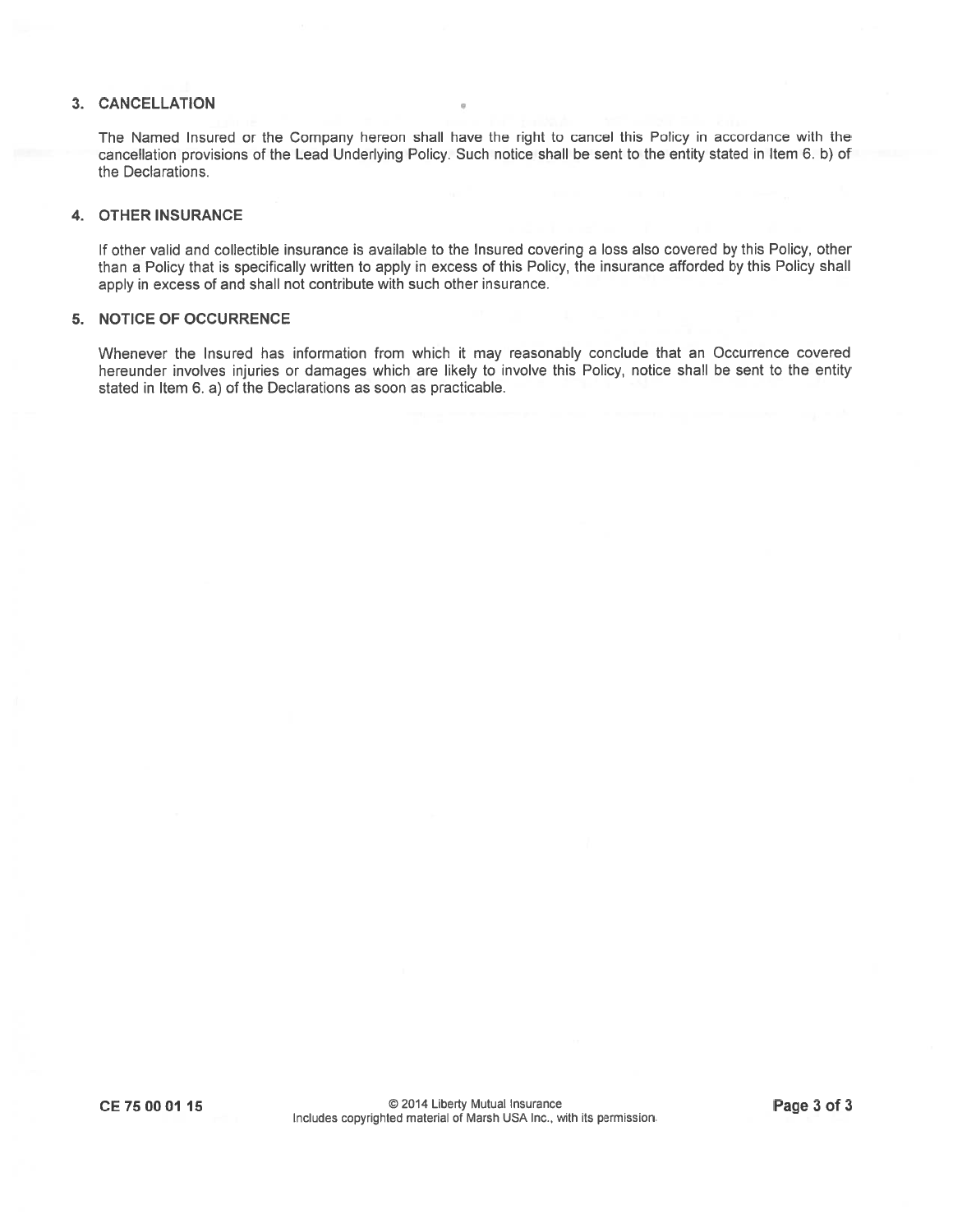## 3. CANCELLATION

The Named Insured or the Company hereon shall have the right to cancel this Policy in accordance with the cancellation provisions of the Lead Underlying Policy. Such notice shall be sent to the entity stated in Item 6. b) of the Declarations.

### 4. OTHER INSURANCE

If other valid and collectible insurance is available to the Insured covering <sup>a</sup> loss also covered by this Policy, other than <sup>a</sup> Policy that is specifically written to apply in excess of this Policy, the insurance afforded by this Policy shall apply in excess of and shall not contribute with such other insurance.

## 5. NOTICE OF OCCURRENCE

Whenever the Insured has information from which it may reasonably conclude that an Occurrence covered hereunder involves injuries or damages which are likely to involve this Policy, notice shall be sent to the entity stated in Item 6. a) of the Declarations as soon as practicable.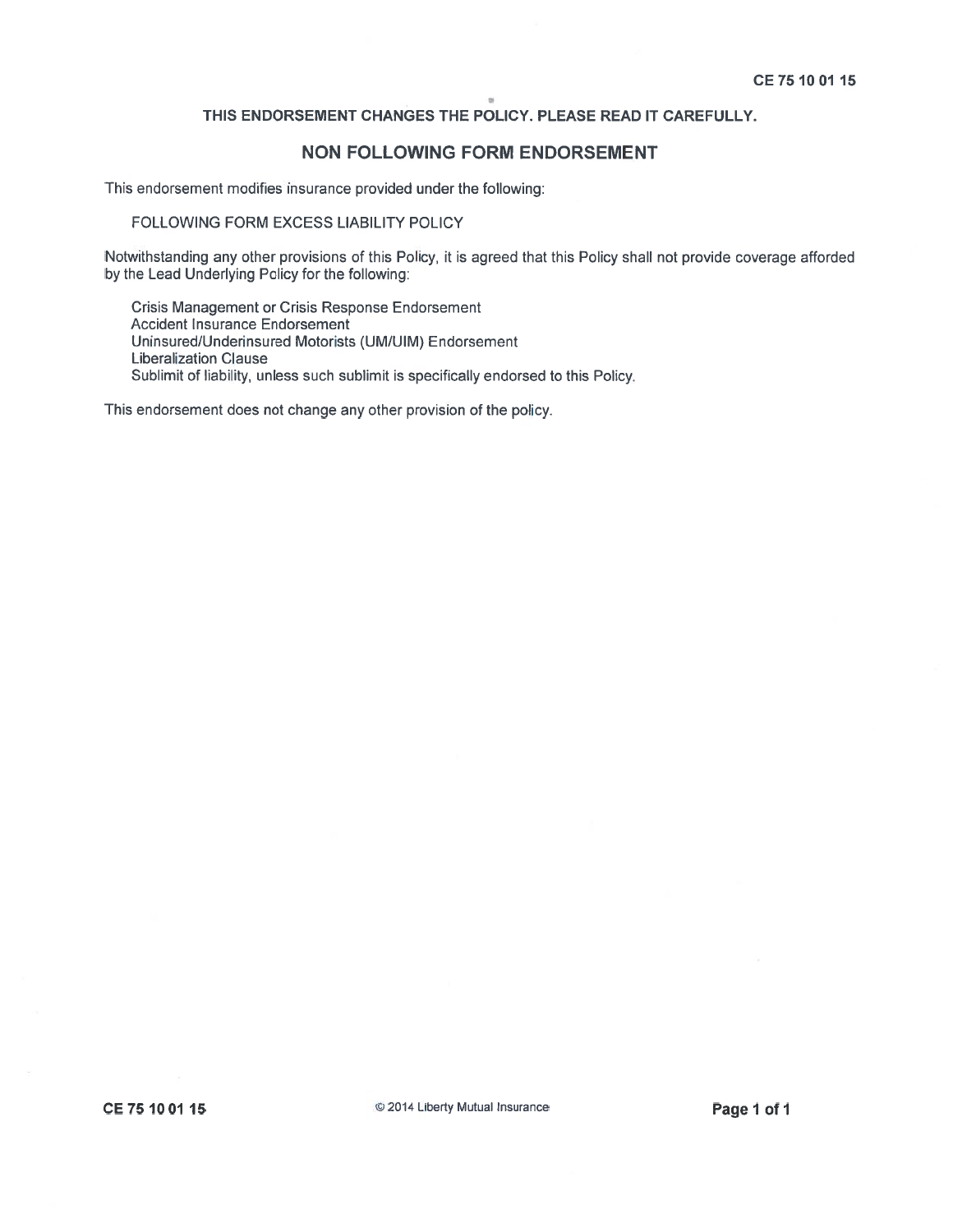# NON FOLLOWING FORM ENDORSEMENT

This endorsement modifies insurance provided under the following:

### FOLLOWING FORM EXCESS LIABILITY POLICY

Notwithstanding any other provisions of this Policy, it is agreed that this Policy shall not provide coverage afforded by the Lead Underlying Policy for the following:

Crisis Management or Crisis Response Endorsement Accident Insurance Endorsement Uninsured/Underinsured Motorists (UM/UIM) Endorsement Liberalization Clause Sublimit of liability, unless such sublimit is specifically endorsed to this Policy.

This endorsement does not change any other provision of the policy.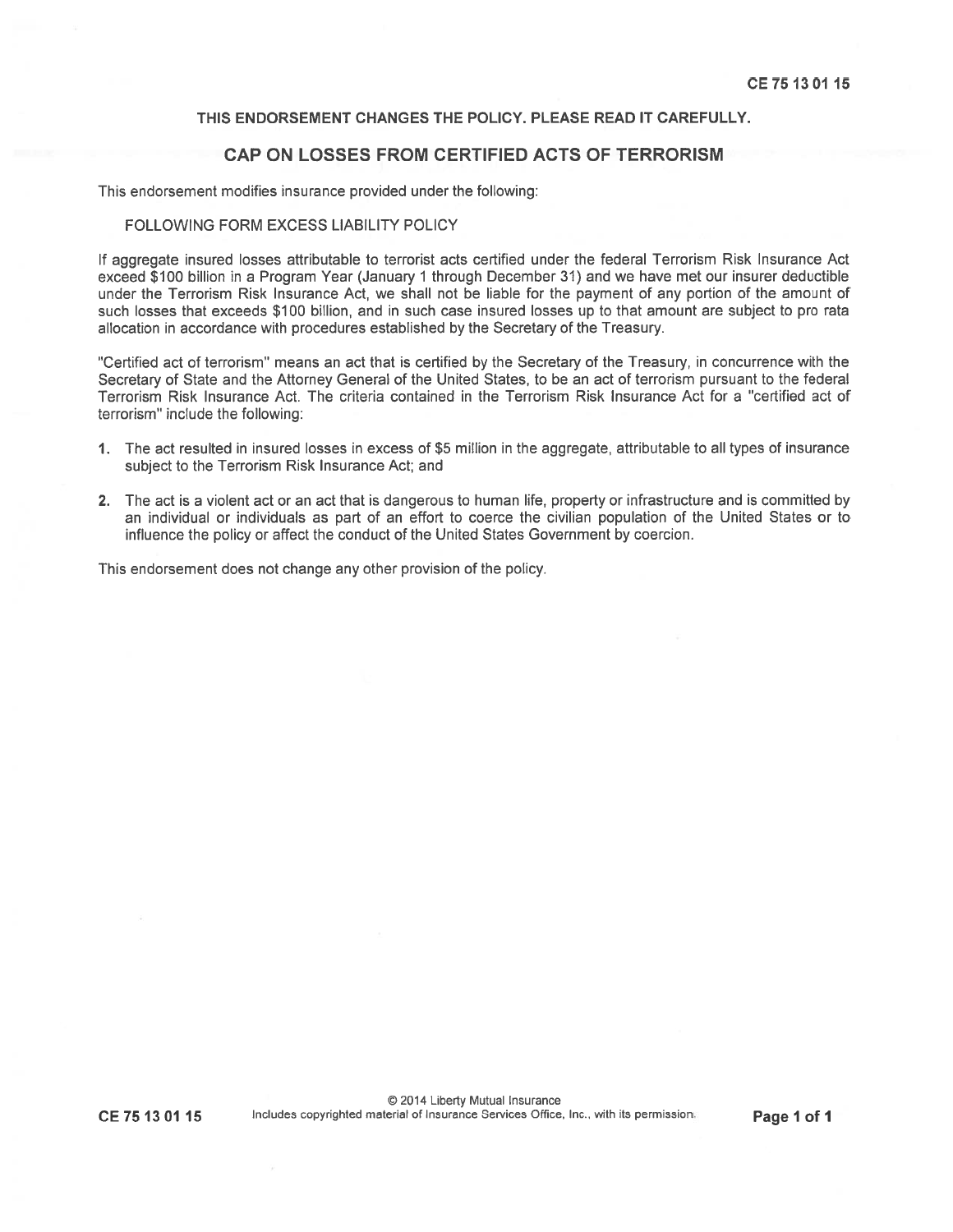# CAP ON LOSSES FROM CERTIFIED ACTS OF TERRORISM

This endorsement modifies insurance provided under the following:

### FOLLOWING FORM EXCESS LIABILITY POLICY

If aggregate insured losses attributable to terrorist acts certified under the federal Terrorism Risk Insurance Act exceed \$100 billion in <sup>a</sup> Program Year (January 1 through December 31) and we have met our insurer deductible under the Terrorism Risk Insurance Act, we shall not be liable for the paymen<sup>t</sup> of any portion of the amount of such losses that exceeds \$100 billion, and in such case insured losses up to that amount are subject to pro rata allocation in accordance with procedures established by the Secretary of the Treasury.

"Certified act of terrorism" means an act that is certified by the Secretary of the Treasury, in concurrence with the Secretary of State and the Attorney General of the United States, to be an act of terrorism pursuan<sup>t</sup> to the federal Terrorism Risk Insurance Act. The criteria contained in the Terrorism Risk Insurance Act for <sup>a</sup> "certified act of terrorism" include the following:

- 1. The act resulted in insured losses in excess of \$5 million in the aggregate, attributable to all types of insurance subject to the Terrorism Risk Insurance Act; and
- 2. The act is <sup>a</sup> violent act or an act that is dangerous to human life, property or infrastructure and is committed by an individual or individuals as par<sup>t</sup> of an effort to coerce the civilian population of the United States or to influence the policy or affect the conduct of the United States Government by coercion.

This endorsement does not change any other provision of the policy.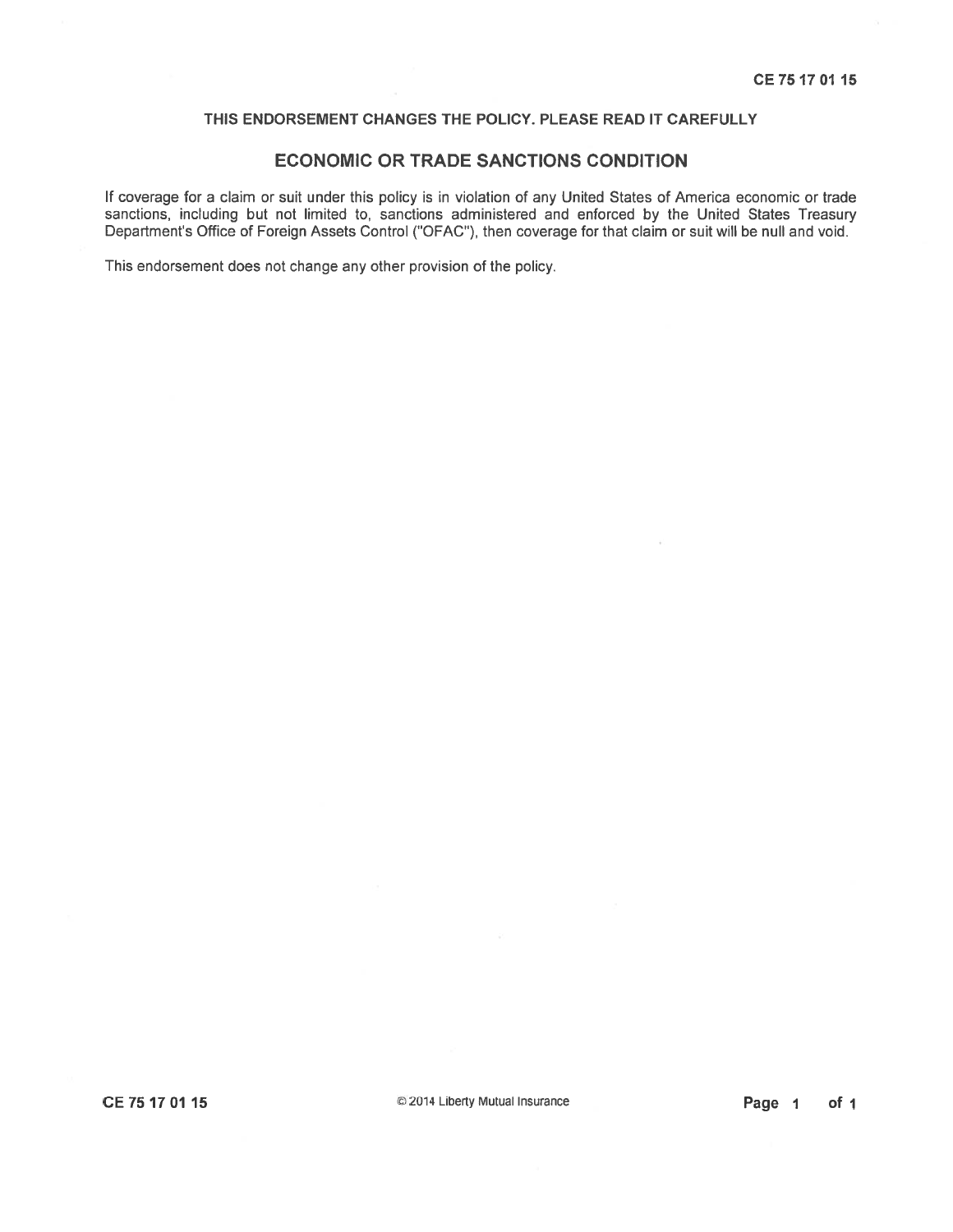### ECONOMIC OR TRADE SANCTIONS CONDITION

If coverage for <sup>a</sup> claim or suit under this policy is in violation of any United States of America economic or trade sanctions, including but not limited to, sanctions administered and enforced by the United States Treasury Department's Office of Foreign Assets Control ("OFAC"), then coverage for that claim or suit will be null and void.

This endorsement does not change any other provision of the policy.

CE 75 1701 15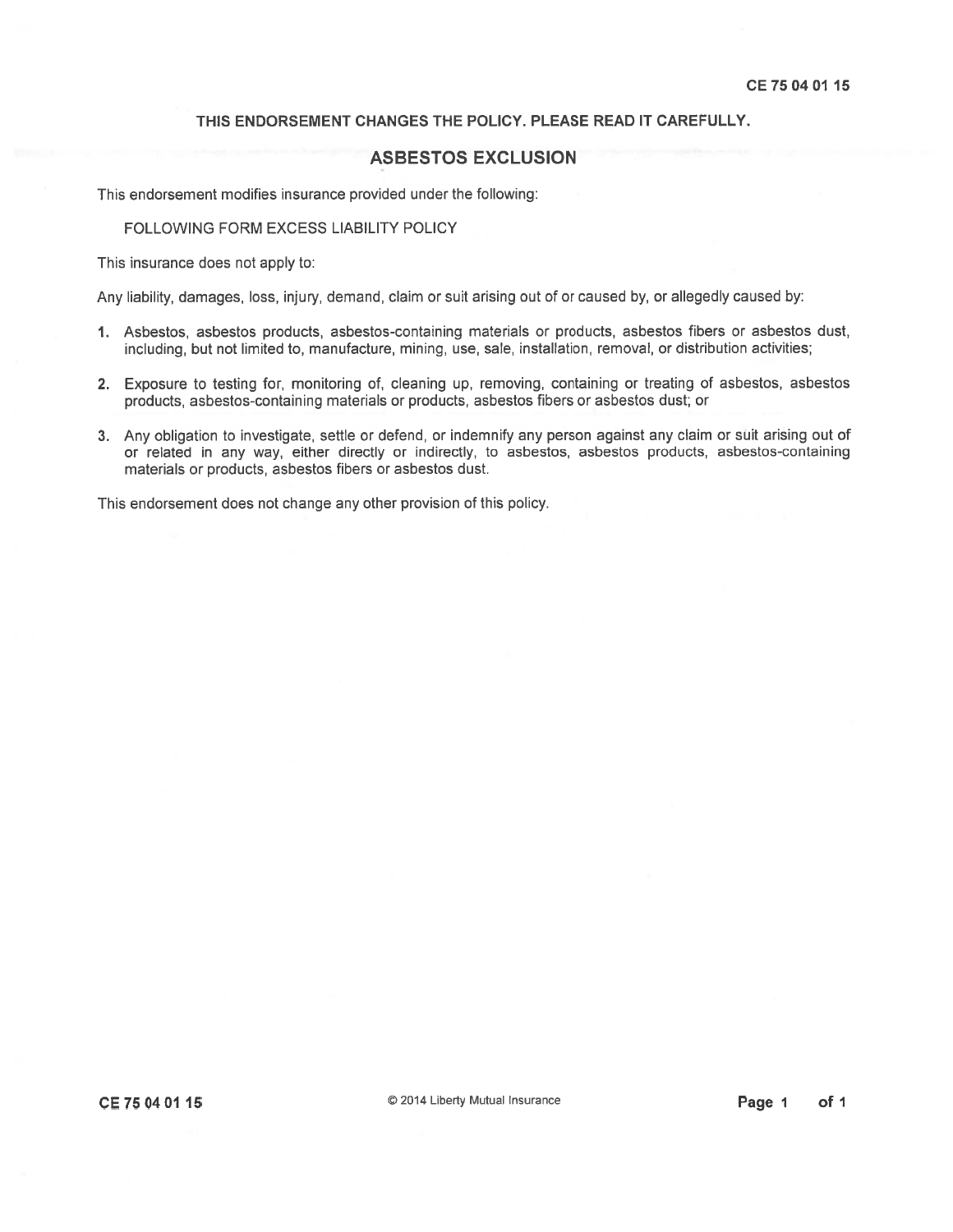# ASBESTOS EXCLUSION

This endorsement modifies insurance provided under the following:

FOLLOWING FORM EXCESS LIABILITY POLICY

This insurance does not apply to:

Any liability, damages, loss, injury, demand, claim or suit arising out of or caused by, or allegedly caused by:

- 1. Asbestos, asbestos products, asbestos-containing materials or products, asbestos fibers or asbestos dust, including, but not limited to, manufacture, mining, use, sale, installation, removal, or distribution activities;
- 2. Exposure to testing for, monitoring of, cleaning up, removing, containing or treating of asbestos, asbestos products, asbestos-containing materials or products, asbestos fibers or asbestos dust; or
- 3. Any obligation to investigate, settle or defend, or indemnify any person against any claim or suit arising out of or related in any way, either directly or indirectly, to asbestos, asbestos products, asbestos-containing materials or products, asbestos fibers or asbestos dust.

This endorsement does not change any other provision of this policy.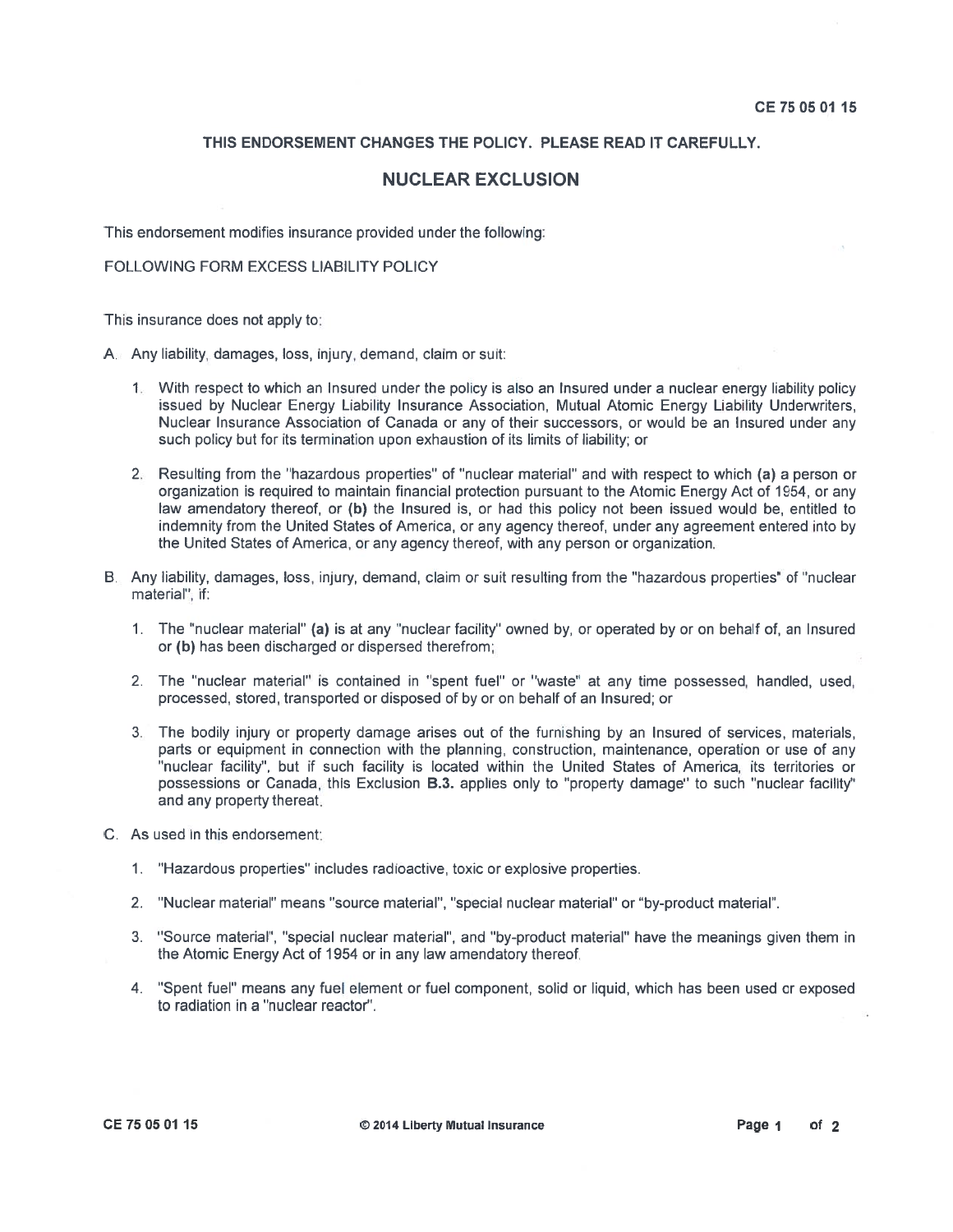# NUCLEAR EXCLUSION

This endorsement modifies insurance provided under the following:

FOLLOWING FORM EXCESS LIABILITY POLICY

This insurance does not apply to:

A. Any liability, damages, loss, injury, demand, claim or suit:

- 1. With respec<sup>t</sup> to which an Insured under the policy is also an Insured under <sup>a</sup> nuclear energy liability policy issued by Nuclear Energy Liability Insurance Association, Mutual Atomic Energy Liability Underwriters, Nuclear Insurance Association of Canada or any of their successors, or would be an Insured under any such policy but for its termination upon exhaustion of its limits of liability; or
- 2. Resulting from the "hazardous properties" of "nuclear material" and with respec<sup>t</sup> to which (a) <sup>a</sup> person or organization is required to maintain financial protection pursuan<sup>t</sup> to the Atomic Energy Act of 1954, or any law amendatory thereof, or **(b)** the Insured is, or had this policy not been issued would be, entitled to indemnity from the United States of America, or any agency thereof, under any agreemen<sup>t</sup> entered into by the United States of America, or any agency thereof, with any person or organization.
- B. Any liability, damages, loss, injury, demand, claim or suit resulting from the "hazardous properties" of "nuclear material", if:
	- 1. The "nuclear material" **(a)** is at any "nuclear facility" owned by, or operated by or on behalf of, an Insurec or (b) has been discharged or dispersed therefrom;
	- 2. The "nuclear material" is contained in "spent fuel" or "waste" at any time possessed, handled, used, processed, stored, transported or disposed of by or on behalf of an Insured; or
	- 3. The bodily injury or property damage arises out of the furnishing by an Insured of services, materials, parts or equipment in connection with the planning, construction, maintenance, operation or use of any "nuclear facility", but if such facility is located within the United States of America, its territories or possessions or Canada, this Exclusion B.3. applies only to "property damage" to such "nuclear facility" and any property thereat.
- C. As used in this endorsement:
	- 1. "Hazardous properties" includes radioactive, toxic or explosive properties.
	- 2. "Nuclear material" means "source material", "special nuclear material" or "by-product material".
	- 3. "Source material", "special nuclear material", and "by-product material" have the meanings given them in the Atomic Energy Act of 1954 or in any law amendatory thereof.
	- 4. "Spent fuel" means any fuel element or fuel component, solid or liquid, which has been used or exposed to radiation in <sup>a</sup> "nuclear reactor".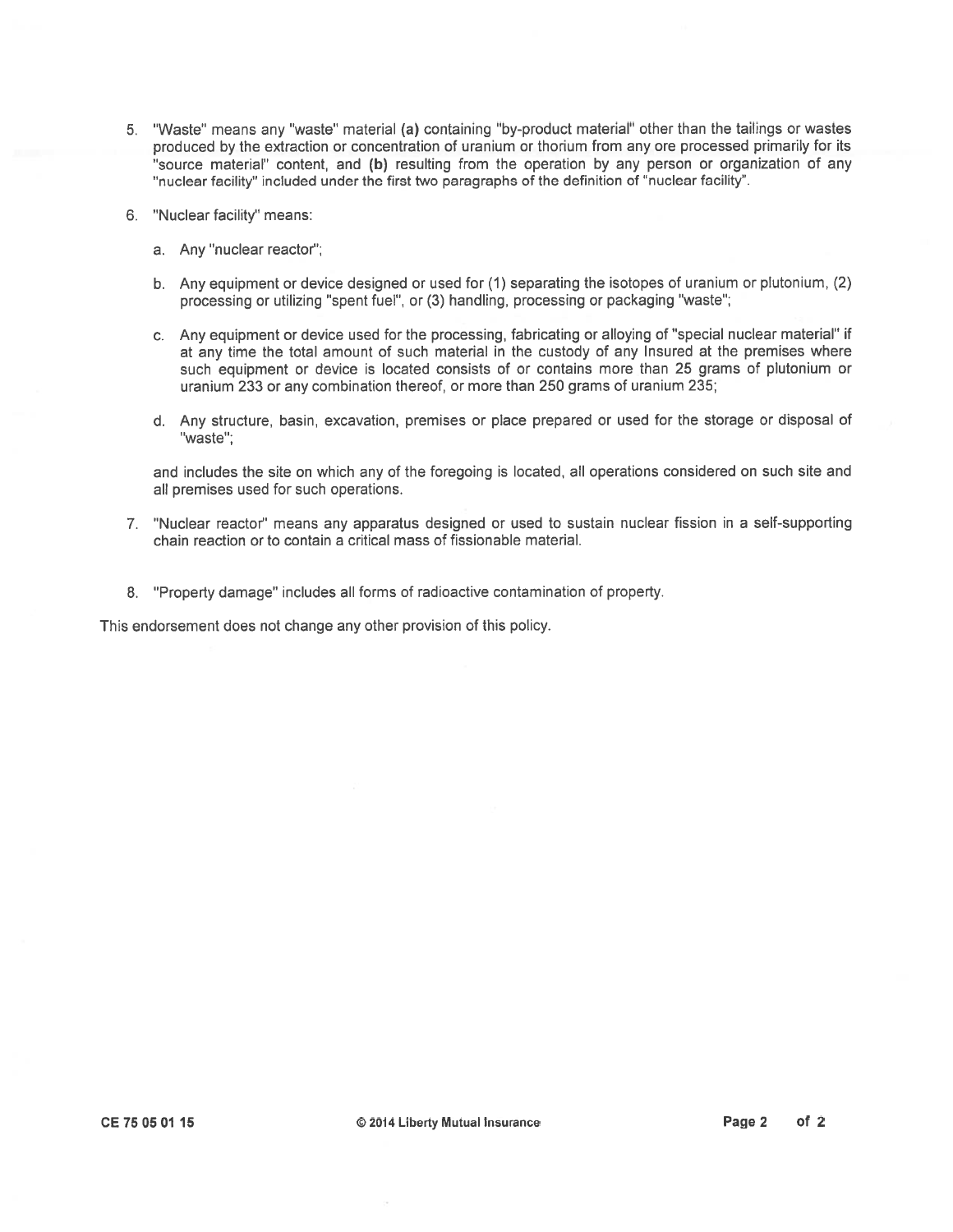- 5. "Waste" means any "waste" material (a) containing "by-product material" other than the tailings or wastes produced by the extraction or concentration of uranium or thorium from any ore processe<sup>d</sup> primarily for its "source material" content, and (b) resulting from the operation by any person or organization of any "nuclear facility" included under the first two paragraphs of the definition of "nuclear facility".
- 6. "Nuclear facility" means:
	- a. Any "nuclear reactor";
	- b. Any equipment or device designed or used for (1) separating the isotopes of uranium or <sup>p</sup>lutonium, (2) processing or utilizing "spent fuel", or (3) handling, processing or packaging "waste";
	- c. Any equipment or device used for the processing, fabricating or alloying of "special nuclear material" if at any time the total amount of such material in the custody of any Insured at the premises where such equipment or device is located consists of or contains more than 25 grams of plutonium or uranium 233 or any combination thereof, or more than 250 grams of uranium 235;
	- d. Any structure, basin, excavation, premises or <sup>p</sup>lace prepared or used for the storage or disposal of "waste";

and includes the site on which any of the foregoing is located, all operations considered on such site and all premises used for such operations.

- 7. "Nuclear reactor" means any apparatus designed or used to sustain nuclear fission in <sup>a</sup> self-supporting chain reaction or to contain a critical mass of fissionable material.
- 8. "Property damage" includes all forms of radioactive contamination of property.

This endorsement does not change any other provision of this policy.